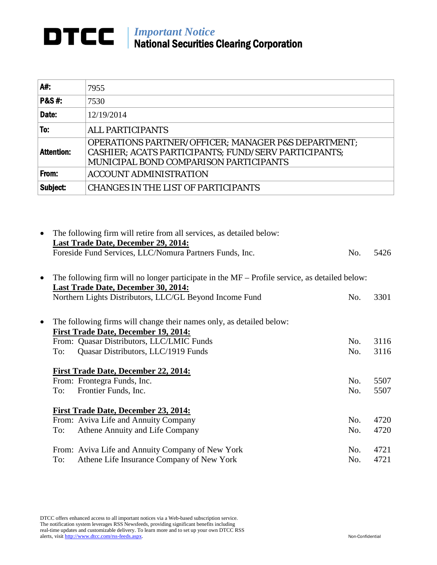## *Important Notice* National Securities Clearing Corporation

| A#:               | 7955                                                                                                                                                             |
|-------------------|------------------------------------------------------------------------------------------------------------------------------------------------------------------|
| <b>P&amp;S#:</b>  | 7530                                                                                                                                                             |
| Date:             | 12/19/2014                                                                                                                                                       |
| To:               | <b>ALL PARTICIPANTS</b>                                                                                                                                          |
| <b>Attention:</b> | <b>OPERATIONS PARTNER/OFFICER; MANAGER P&amp;S DEPARTMENT;</b><br>CASHIER; ACATS PARTICIPANTS; FUND/SERV PARTICIPANTS;<br>MUNICIPAL BOND COMPARISON PARTICIPANTS |
| From:             | <b>ACCOUNT ADMINISTRATION</b>                                                                                                                                    |
| Subject:          | <b>CHANGES IN THE LIST OF PARTICIPANTS</b>                                                                                                                       |

| $\bullet$ | The following firm will retire from all services, as detailed below:                                  |     |      |
|-----------|-------------------------------------------------------------------------------------------------------|-----|------|
|           | <b>Last Trade Date, December 29, 2014:</b><br>Foreside Fund Services, LLC/Nomura Partners Funds, Inc. | No. | 5426 |
| $\bullet$ | The following firm will no longer participate in the $MF -$ Profile service, as detailed below:       |     |      |
|           | Last Trade Date, December 30, 2014:<br>Northern Lights Distributors, LLC/GL Beyond Income Fund        | No. | 3301 |
| $\bullet$ | The following firms will change their names only, as detailed below:                                  |     |      |
|           | <b>First Trade Date, December 19, 2014:</b>                                                           |     |      |
|           | From: Quasar Distributors, LLC/LMIC Funds                                                             | No. | 3116 |
|           | Quasar Distributors, LLC/1919 Funds<br>To:                                                            | No. | 3116 |
|           | <b>First Trade Date, December 22, 2014:</b>                                                           |     |      |
|           | From: Frontegra Funds, Inc.                                                                           | No. | 5507 |
|           | Frontier Funds, Inc.<br>To:                                                                           | No. | 5507 |
|           | <b>First Trade Date, December 23, 2014:</b>                                                           |     |      |
|           | From: Aviva Life and Annuity Company                                                                  | No. | 4720 |
|           | Athene Annuity and Life Company<br>To:                                                                | No. | 4720 |
|           | From: Aviva Life and Annuity Company of New York                                                      | No. | 4721 |
|           | Athene Life Insurance Company of New York<br>To:                                                      | No. | 4721 |

DTCC offers enhanced access to all important notices via a Web-based subscription service. The notification system leverages RSS Newsfeeds, providing significant benefits including real-time updates and customizable delivery. To learn more and to set up your own DTCC RSS alerts, visi[t http://www.dtcc.com/rss-feeds.aspx.](http://www.dtcc.com/subscription_form.php) Non-Confidential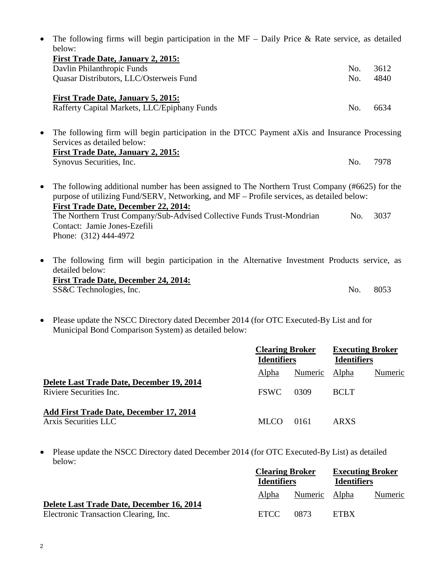| $\bullet$ | The following firms will begin participation in the $MF - Daily$ Price & Rate service, as detailed<br>below:                                                                                                                                |     |      |
|-----------|---------------------------------------------------------------------------------------------------------------------------------------------------------------------------------------------------------------------------------------------|-----|------|
|           | <b>First Trade Date, January 2, 2015:</b>                                                                                                                                                                                                   |     |      |
|           | Davlin Philanthropic Funds                                                                                                                                                                                                                  | No. | 3612 |
|           | Quasar Distributors, LLC/Osterweis Fund                                                                                                                                                                                                     | No. | 4840 |
|           | <b>First Trade Date, January 5, 2015:</b>                                                                                                                                                                                                   |     |      |
|           | Rafferty Capital Markets, LLC/Epiphany Funds                                                                                                                                                                                                | No. | 6634 |
| $\bullet$ | The following firm will begin participation in the DTCC Payment aXis and Insurance Processing<br>Services as detailed below:                                                                                                                |     |      |
|           | <b>First Trade Date, January 2, 2015:</b>                                                                                                                                                                                                   |     |      |
|           | Synovus Securities, Inc.                                                                                                                                                                                                                    | No. | 7978 |
| $\bullet$ | The following additional number has been assigned to The Northern Trust Company (#6625) for the<br>purpose of utilizing Fund/SERV, Networking, and MF - Profile services, as detailed below:<br><b>First Trade Date, December 22, 2014:</b> |     |      |
|           | The Northern Trust Company/Sub-Advised Collective Funds Trust-Mondrian                                                                                                                                                                      | No. | 3037 |
|           | Contact: Jamie Jones-Ezefili                                                                                                                                                                                                                |     |      |
|           | Phone: (312) 444-4972                                                                                                                                                                                                                       |     |      |
| $\bullet$ | The following firm will begin participation in the Alternative Investment Products service, as<br>detailed below:                                                                                                                           |     |      |
|           | <b>First Trade Date, December 24, 2014:</b>                                                                                                                                                                                                 |     |      |
|           | SS&C Technologies, Inc.                                                                                                                                                                                                                     | No. | 8053 |

• Please update the NSCC Directory dated December 2014 (for OTC Executed-By List and for Municipal Bond Comparison System) as detailed below:

|                                                                      | <b>Clearing Broker</b><br><b>Identifiers</b> |               | <b>Executing Broker</b><br><b>Identifiers</b> |         |
|----------------------------------------------------------------------|----------------------------------------------|---------------|-----------------------------------------------|---------|
|                                                                      | Alpha                                        | Numeric Alpha |                                               | Numeric |
| Delete Last Trade Date, December 19, 2014<br>Riviere Securities Inc. | <b>FSWC</b>                                  | 0309          | <b>BCLT</b>                                   |         |
| Add First Trade Date, December 17, 2014<br>Arxis Securities LLC      | MLCO.                                        | 0161          | ARXS                                          |         |

• Please update the NSCC Directory dated December 2014 (for OTC Executed-By List) as detailed below:

|                                                                                    | <b>Clearing Broker</b><br><b>Identifiers</b> |               | <b>Executing Broker</b><br><b>Identifiers</b> |         |
|------------------------------------------------------------------------------------|----------------------------------------------|---------------|-----------------------------------------------|---------|
|                                                                                    | <b>Alpha</b>                                 | Numeric Alpha |                                               | Numeric |
| Delete Last Trade Date, December 16, 2014<br>Electronic Transaction Clearing, Inc. | ETCC                                         | 0873          | <b>ETRX</b>                                   |         |